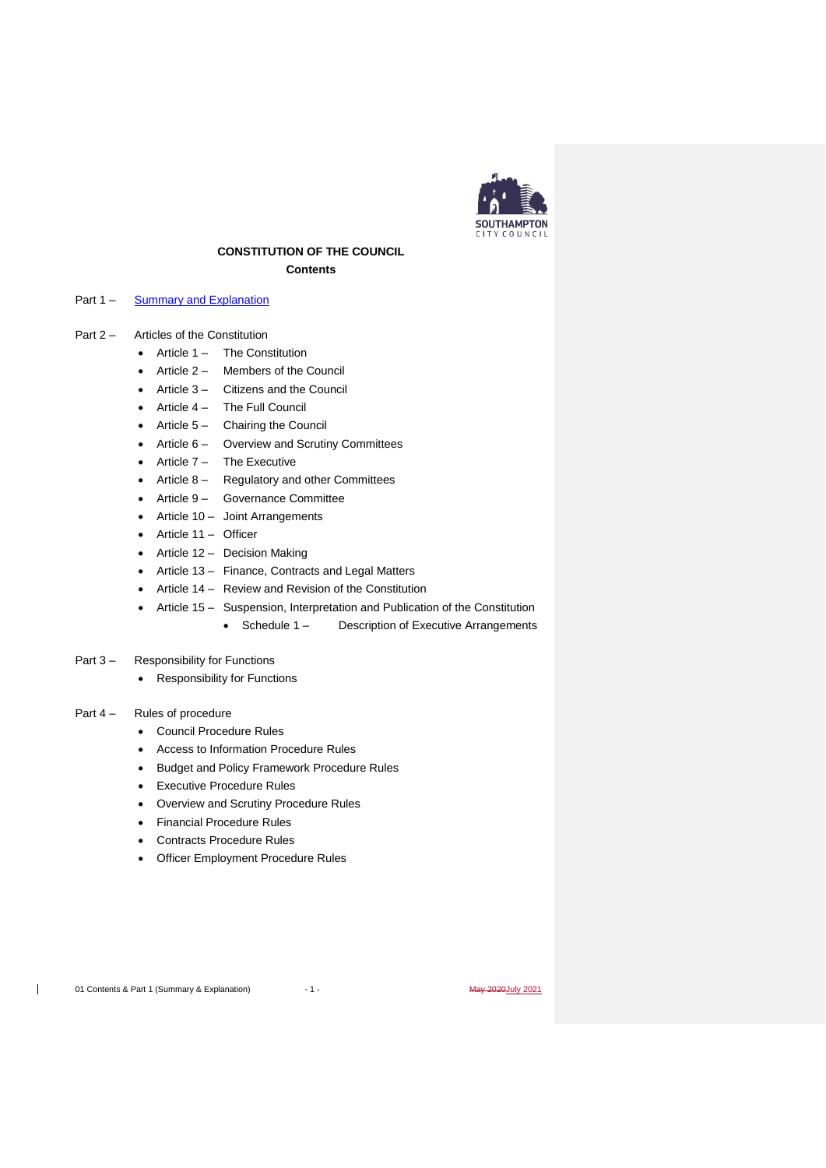

# **CONSTITUTION OF THE COUNCIL Contents**

## Part 1 – [Summary and Explanation](#page-2-0)

- Part 2 Articles of the Constitution
	- Article 1 The Constitution
	- Article 2 Members of the Council
	- Article 3 Citizens and the Council
	- Article 4 The Full Council
	- Article 5 Chairing the Council
	- Article 6 Overview and Scrutiny Committees
	- Article 7 The Executive
	- Article 8 Regulatory and other Committees
	- Article 9 Governance Committee
	- Article 10 Joint Arrangements
	- Article 11 Officer
	- Article 12 Decision Making
	- Article 13 Finance, Contracts and Legal Matters
	- Article 14 Review and Revision of the Constitution
	- Article 15 Suspension, Interpretation and Publication of the Constitution
		- Schedule 1 Description of Executive Arrangements

#### Part 3 – Responsibility for Functions

• Responsibility for Functions

### Part 4 – Rules of procedure

- Council Procedure Rules
- Access to Information Procedure Rules
- Budget and Policy Framework Procedure Rules
- **Executive Procedure Rules**
- Overview and Scrutiny Procedure Rules
- Financial Procedure Rules
- Contracts Procedure Rules
- Officer Employment Procedure Rules

 $\overline{1}$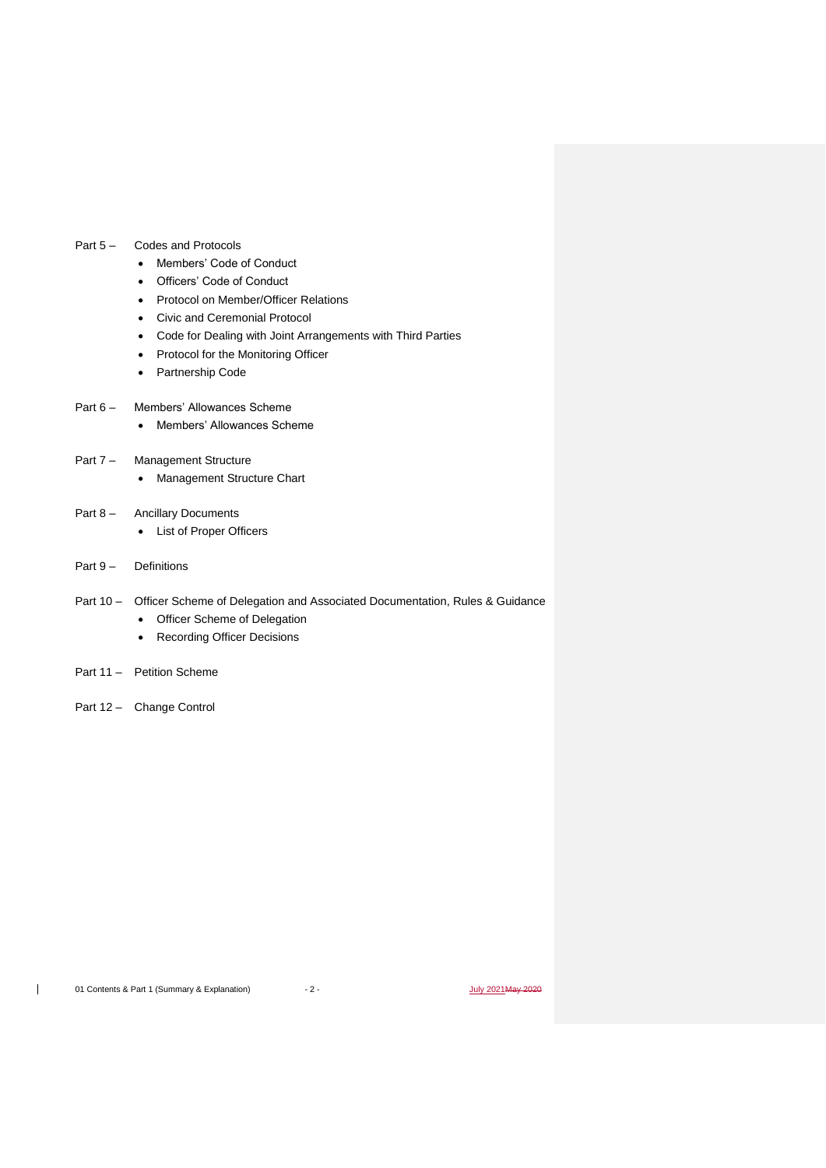## Part 5 – Codes and Protocols

- Members' Code of Conduct
- Officers' Code of Conduct
- Protocol on Member/Officer Relations
- Civic and Ceremonial Protocol
- Code for Dealing with Joint Arrangements with Third Parties
- Protocol for the Monitoring Officer
- Partnership Code

## Part 6 – Members' Allowances Scheme

• Members' Allowances Scheme

# Part 7 – Management Structure

- Management Structure Chart
- Part 8 Ancillary Documents
	- List of Proper Officers
- Part 9 Definitions
- Part 10 Officer Scheme of Delegation and Associated Documentation, Rules & Guidance
	- Officer Scheme of Delegation
	- Recording Officer Decisions
- Part 11 Petition Scheme
- Part 12 Change Control

 $\overline{1}$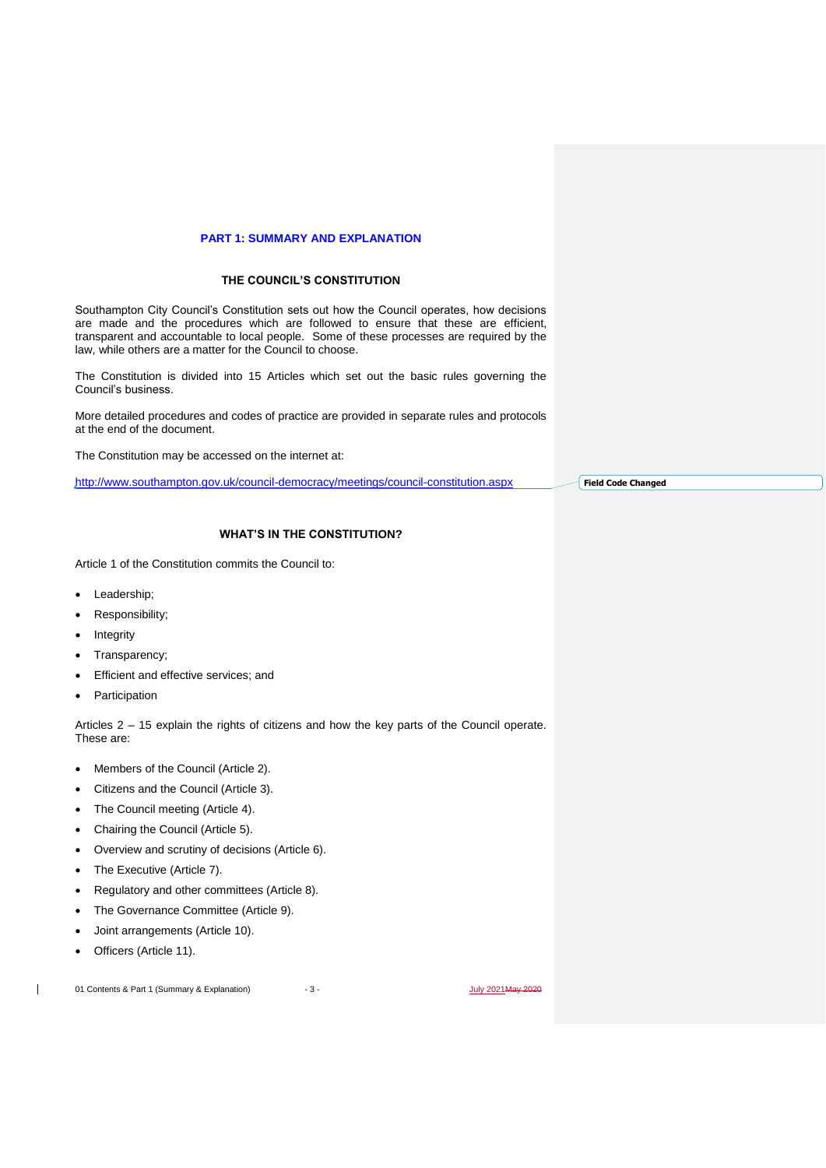## **PART 1: SUMMARY AND EXPLANATION**

## **THE COUNCIL'S CONSTITUTION**

<span id="page-2-0"></span>Southampton City Council's Constitution sets out how the Council operates, how decisions are made and the procedures which are followed to ensure that these are efficient, transparent and accountable to local people. Some of these processes are required by the law, while others are a matter for the Council to choose.

The Constitution is divided into 15 Articles which set out the basic rules governing the Council's business.

More detailed procedures and codes of practice are provided in separate rules and protocols at the end of the document.

The Constitution may be accessed on the internet at:

<http://www.southampton.gov.uk/council-democracy/meetings/council-constitution.aspx>

**Field Code Changed**

# **WHAT'S IN THE CONSTITUTION?**

Article 1 of the Constitution commits the Council to:

- Leadership;
- Responsibility;
- **Integrity**
- Transparency;
- Efficient and effective services; and
- **Participation**

Articles 2 – 15 explain the rights of citizens and how the key parts of the Council operate. These are:

- Members of the Council (Article 2).
- Citizens and the Council (Article 3).
- The Council meeting (Article 4).
- Chairing the Council (Article 5).
- Overview and scrutiny of decisions (Article 6).
- The Executive (Article 7).
- Regulatory and other committees (Article 8).
- The Governance Committee (Article 9).
- Joint arrangements (Article 10).
- Officers (Article 11).

 $\mathbf{I}$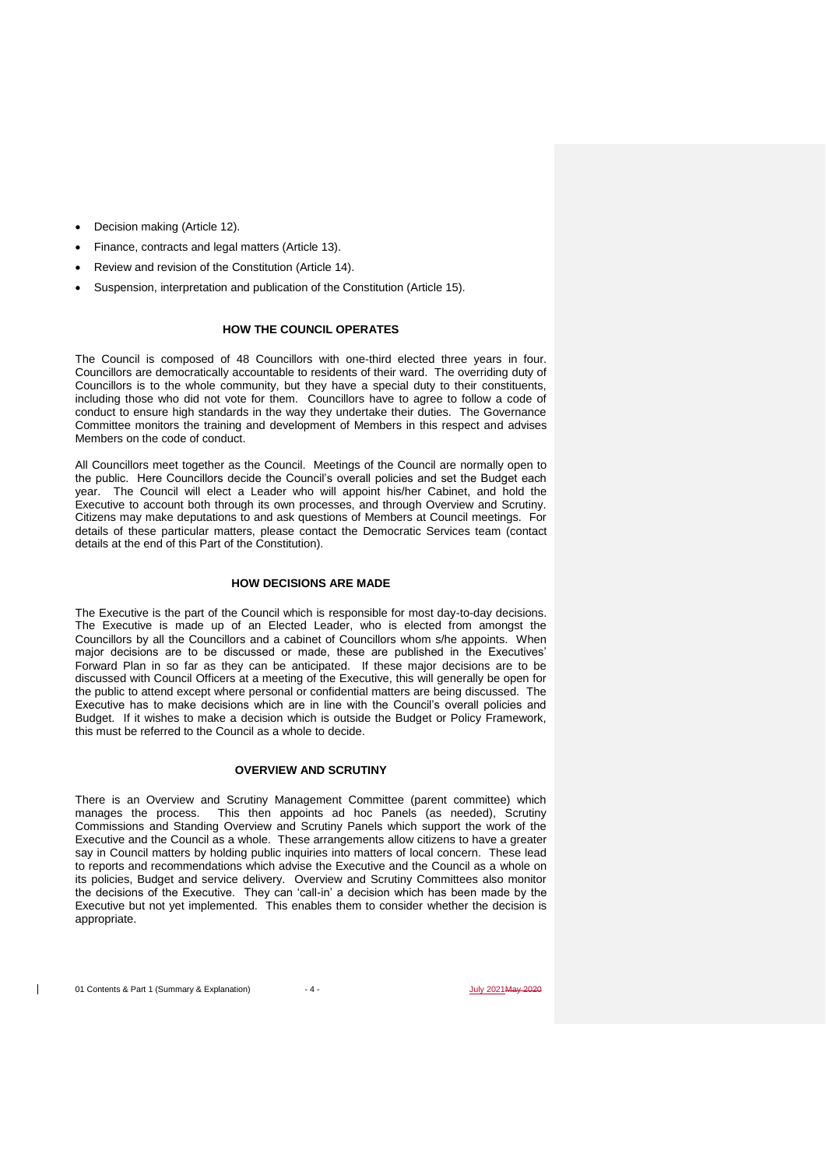- Decision making (Article 12).
- Finance, contracts and legal matters (Article 13).
- Review and revision of the Constitution (Article 14).
- Suspension, interpretation and publication of the Constitution (Article 15).

# **HOW THE COUNCIL OPERATES**

The Council is composed of 48 Councillors with one-third elected three years in four. Councillors are democratically accountable to residents of their ward. The overriding duty of Councillors is to the whole community, but they have a special duty to their constituents, including those who did not vote for them. Councillors have to agree to follow a code of conduct to ensure high standards in the way they undertake their duties. The Governance Committee monitors the training and development of Members in this respect and advises Members on the code of conduct.

All Councillors meet together as the Council. Meetings of the Council are normally open to the public. Here Councillors decide the Council's overall policies and set the Budget each year. The Council will elect a Leader who will appoint his/her Cabinet, and hold the Executive to account both through its own processes, and through Overview and Scrutiny. Citizens may make deputations to and ask questions of Members at Council meetings. For details of these particular matters, please contact the Democratic Services team (contact details at the end of this Part of the Constitution).

#### **HOW DECISIONS ARE MADE**

The Executive is the part of the Council which is responsible for most day-to-day decisions. The Executive is made up of an Elected Leader, who is elected from amongst the Councillors by all the Councillors and a cabinet of Councillors whom s/he appoints. When major decisions are to be discussed or made, these are published in the Executives' Forward Plan in so far as they can be anticipated. If these major decisions are to be discussed with Council Officers at a meeting of the Executive, this will generally be open for the public to attend except where personal or confidential matters are being discussed. The Executive has to make decisions which are in line with the Council's overall policies and Budget. If it wishes to make a decision which is outside the Budget or Policy Framework, this must be referred to the Council as a whole to decide.

#### **OVERVIEW AND SCRUTINY**

There is an Overview and Scrutiny Management Committee (parent committee) which manages the process. This then appoints ad hoc Panels (as needed), Scrutiny Commissions and Standing Overview and Scrutiny Panels which support the work of the Executive and the Council as a whole. These arrangements allow citizens to have a greater say in Council matters by holding public inquiries into matters of local concern. These lead to reports and recommendations which advise the Executive and the Council as a whole on its policies, Budget and service delivery. Overview and Scrutiny Committees also monitor the decisions of the Executive. They can 'call-in' a decision which has been made by the Executive but not yet implemented. This enables them to consider whether the decision is appropriate.

 $\mathbf{I}$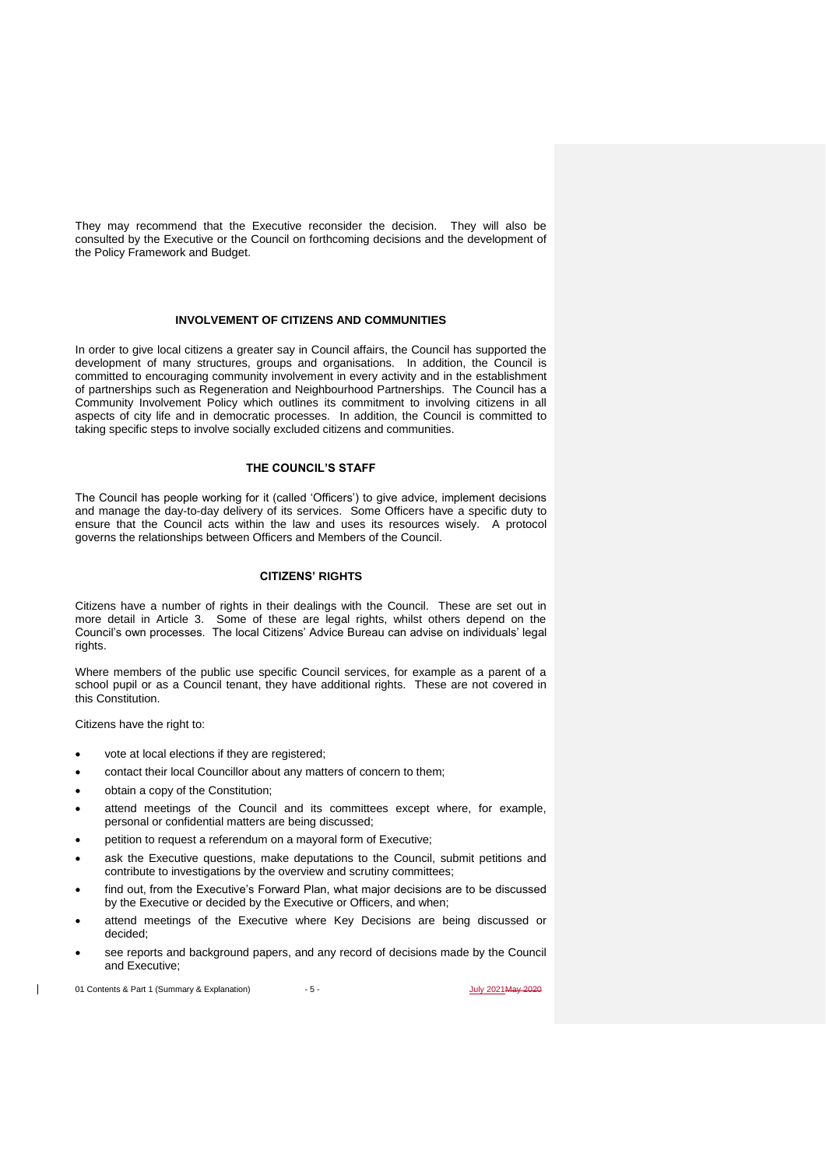They may recommend that the Executive reconsider the decision. They will also be consulted by the Executive or the Council on forthcoming decisions and the development of the Policy Framework and Budget.

#### **INVOLVEMENT OF CITIZENS AND COMMUNITIES**

In order to give local citizens a greater say in Council affairs, the Council has supported the development of many structures, groups and organisations. In addition, the Council is committed to encouraging community involvement in every activity and in the establishment of partnerships such as Regeneration and Neighbourhood Partnerships. The Council has a Community Involvement Policy which outlines its commitment to involving citizens in all aspects of city life and in democratic processes. In addition, the Council is committed to taking specific steps to involve socially excluded citizens and communities.

# **THE COUNCIL'S STAFF**

The Council has people working for it (called 'Officers') to give advice, implement decisions and manage the day-to-day delivery of its services. Some Officers have a specific duty to ensure that the Council acts within the law and uses its resources wisely. A protocol governs the relationships between Officers and Members of the Council.

#### **CITIZENS' RIGHTS**

Citizens have a number of rights in their dealings with the Council. These are set out in more detail in Article 3. Some of these are legal rights, whilst others depend on the Council's own processes. The local Citizens' Advice Bureau can advise on individuals' legal rights.

Where members of the public use specific Council services, for example as a parent of a school pupil or as a Council tenant, they have additional rights. These are not covered in this Constitution.

Citizens have the right to:

- vote at local elections if they are registered;
- contact their local Councillor about any matters of concern to them;
- obtain a copy of the Constitution;
- attend meetings of the Council and its committees except where, for example, personal or confidential matters are being discussed;
- petition to request a referendum on a mayoral form of Executive;
- ask the Executive questions, make deputations to the Council, submit petitions and contribute to investigations by the overview and scrutiny committees;
- find out, from the Executive's Forward Plan, what major decisions are to be discussed by the Executive or decided by the Executive or Officers, and when;
- attend meetings of the Executive where Key Decisions are being discussed or decided;
- see reports and background papers, and any record of decisions made by the Council and Executive;

01 Contents & Part 1 (Summary & Explanation)  $-5$  -  $\frac{July 2021May 20220}{July 2021May 2020}$ 

 $\overline{\phantom{a}}$